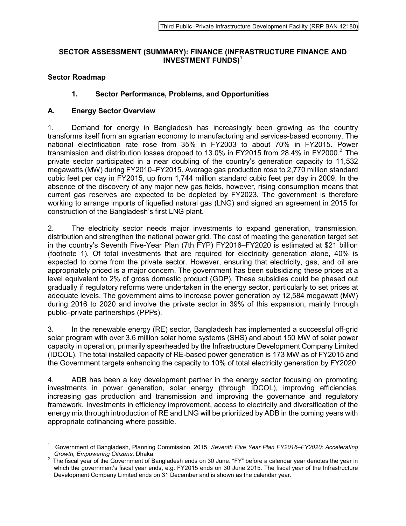#### **SECTOR ASSESSMENT (SUMMARY): FINANCE (INFRASTRUCTURE FINANCE AND INVESTMENT FUNDS)**<sup>1</sup>

# **Sector Roadmap**

 $\overline{a}$ 

# **1. Sector Performance, Problems, and Opportunities**

#### **A. Energy Sector Overview**

1. Demand for energy in Bangladesh has increasingly been growing as the country transforms itself from an agrarian economy to manufacturing and services-based economy. The national electrification rate rose from 35% in FY2003 to about 70% in FY2015. Power transmission and distribution losses dropped to 13.0% in FY2015 from 28.4% in FY2000.<sup>2</sup> The private sector participated in a near doubling of the country's generation capacity to 11,532 megawatts (MW) during FY2010–FY2015. Average gas production rose to 2,770 million standard cubic feet per day in FY2015, up from 1,744 million standard cubic feet per day in 2009. In the absence of the discovery of any major new gas fields, however, rising consumption means that current gas reserves are expected to be depleted by FY2023. The government is therefore working to arrange imports of liquefied natural gas (LNG) and signed an agreement in 2015 for construction of the Bangladesh's first LNG plant.

2. The electricity sector needs major investments to expand generation, transmission, distribution and strengthen the national power grid. The cost of meeting the generation target set in the country's Seventh Five-Year Plan (7th FYP) FY2016–FY2020 is estimated at \$21 billion (footnote 1). Of total investments that are required for electricity generation alone, 40% is expected to come from the private sector. However, ensuring that electricity, gas, and oil are appropriately priced is a major concern. The government has been subsidizing these prices at a level equivalent to 2% of gross domestic product (GDP). These subsidies could be phased out gradually if regulatory reforms were undertaken in the energy sector, particularly to set prices at adequate levels. The government aims to increase power generation by 12,584 megawatt (MW) during 2016 to 2020 and involve the private sector in 39% of this expansion, mainly through public–private partnerships (PPPs).

3. In the renewable energy (RE) sector, Bangladesh has implemented a successful off-grid solar program with over 3.6 million solar home systems (SHS) and about 150 MW of solar power capacity in operation, primarily spearheaded by the Infrastructure Development Company Limited (IDCOL). The total installed capacity of RE-based power generation is 173 MW as of FY2015 and the Government targets enhancing the capacity to 10% of total electricity generation by FY2020.

4. ADB has been a key development partner in the energy sector focusing on promoting investments in power generation, solar energy (through IDCOL), improving efficiencies, increasing gas production and transmission and improving the governance and regulatory framework. Investments in efficiency improvement, access to electricity and diversification of the energy mix through introduction of RE and LNG will be prioritized by ADB in the coming years with appropriate cofinancing where possible.

<sup>1</sup> Government of Bangladesh, Planning Commission. 2015. *Seventh Five Year Plan FY2016‒FY2020: Accelerating Growth, Empowering Citizens*. Dhaka.

 $2$  The fiscal year of the Government of Bangladesh ends on 30 June. "FY" before a calendar year denotes the year in which the government's fiscal year ends, e.g. FY2015 ends on 30 June 2015. The fiscal year of the Infrastructure Development Company Limited ends on 31 December and is shown as the calendar year.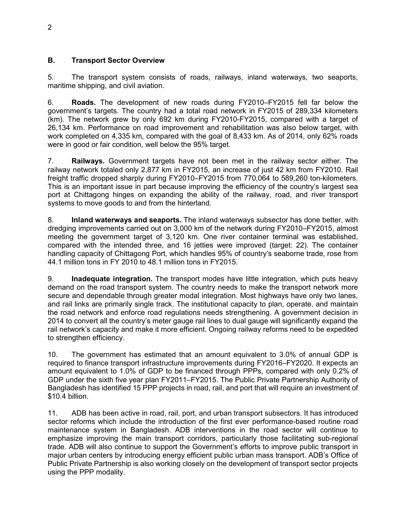# **B. Transport Sector Overview**

5. The transport system consists of roads, railways, inland waterways, two seaports, maritime shipping, and civil aviation.

6. **Roads.** The development of new roads during FY2010–FY2015 fell far below the government's targets. The country had a total road network in FY2015 of 289,334 kilometers (km). The network grew by only 692 km during FY2010-FY2015, compared with a target of 26,134 km. Performance on road improvement and rehabilitation was also below target, with work completed on 4,335 km, compared with the goal of 8,433 km. As of 2014, only 62% roads were in good or fair condition, well below the 95% target.

7. **Railways.** Government targets have not been met in the railway sector either. The railway network totaled only 2,877 km in FY2015, an increase of just 42 km from FY2010. Rail freight traffic dropped sharply during FY2010–FY2015 from 770,064 to 589,260 ton-kilometers. This is an important issue in part because improving the efficiency of the country's largest sea port at Chittagong hinges on expanding the ability of the railway, road, and river transport systems to move goods to and from the hinterland.

8. **Inland waterways and seaports.** The inland waterways subsector has done better, with dredging improvements carried out on 3,000 km of the network during FY2010–FY2015, almost meeting the government target of 3,120 km. One river container terminal was established, compared with the intended three, and 16 jetties were improved (target: 22). The container handling capacity of Chittagong Port, which handles 95% of country's seaborne trade, rose from 44.1 million tons in FY 2010 to 48.1 million tons in FY2015.

9. **Inadequate integration.** The transport modes have little integration, which puts heavy demand on the road transport system. The country needs to make the transport network more secure and dependable through greater modal integration. Most highways have only two lanes, and rail links are primarily single track. The institutional capacity to plan, operate, and maintain the road network and enforce road regulations needs strengthening. A government decision in 2014 to convert all the country's meter gauge rail lines to dual gauge will significantly expand the rail network's capacity and make it more efficient. Ongoing railway reforms need to be expedited to strengthen efficiency.

10. The government has estimated that an amount equivalent to 3.0% of annual GDP is required to finance transport infrastructure improvements during FY2016–FY2020. It expects an amount equivalent to 1.0% of GDP to be financed through PPPs, compared with only 0.2% of GDP under the sixth five year plan FY2011–FY2015. The Public Private Partnership Authority of Bangladesh has identified 15 PPP projects in road, rail, and port that will require an investment of \$10.4 billion.

11. ADB has been active in road, rail, port, and urban transport subsectors. It has introduced sector reforms which include the introduction of the first ever performance-based routine road maintenance system in Bangladesh. ADB interventions in the road sector will continue to emphasize improving the main transport corridors, particularly those facilitating sub-regional trade. ADB will also continue to support the Government's efforts to improve public transport in major urban centers by introducing energy efficient public urban mass transport. ADB's Office of Public Private Partnership is also working closely on the development of transport sector projects using the PPP modality.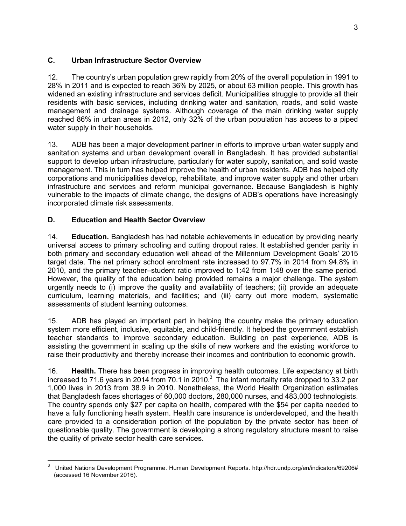# **C. Urban Infrastructure Sector Overview**

12. The country's urban population grew rapidly from 20% of the overall population in 1991 to 28% in 2011 and is expected to reach 36% by 2025, or about 63 million people. This growth has widened an existing infrastructure and services deficit. Municipalities struggle to provide all their residents with basic services, including drinking water and sanitation, roads, and solid waste management and drainage systems. Although coverage of the main drinking water supply reached 86% in urban areas in 2012, only 32% of the urban population has access to a piped water supply in their households.

13. ADB has been a major development partner in efforts to improve urban water supply and sanitation systems and urban development overall in Bangladesh. It has provided substantial support to develop urban infrastructure, particularly for water supply, sanitation, and solid waste management. This in turn has helped improve the health of urban residents. ADB has helped city corporations and municipalities develop, rehabilitate, and improve water supply and other urban infrastructure and services and reform municipal governance. Because Bangladesh is highly vulnerable to the impacts of climate change, the designs of ADB's operations have increasingly incorporated climate risk assessments.

# **D. Education and Health Sector Overview**

 $\overline{a}$ 

14. **Education.** Bangladesh has had notable achievements in education by providing nearly universal access to primary schooling and cutting dropout rates. It established gender parity in both primary and secondary education well ahead of the Millennium Development Goals' 2015 target date. The net primary school enrolment rate increased to 97.7% in 2014 from 94.8% in 2010, and the primary teacher–student ratio improved to 1:42 from 1:48 over the same period. However, the quality of the education being provided remains a major challenge. The system urgently needs to (i) improve the quality and availability of teachers; (ii) provide an adequate curriculum, learning materials, and facilities; and (iii) carry out more modern, systematic assessments of student learning outcomes.

15. ADB has played an important part in helping the country make the primary education system more efficient, inclusive, equitable, and child-friendly. It helped the government establish teacher standards to improve secondary education. Building on past experience, ADB is assisting the government in scaling up the skills of new workers and the existing workforce to raise their productivity and thereby increase their incomes and contribution to economic growth.

16. **Health.** There has been progress in improving health outcomes. Life expectancy at birth increased to 71.6 years in 2014 from 70.1 in 2010.<sup>3</sup> The infant mortality rate dropped to 33.2 per 1,000 lives in 2013 from 38.9 in 2010. Nonetheless, the World Health Organization estimates that Bangladesh faces shortages of 60,000 doctors, 280,000 nurses, and 483,000 technologists. The country spends only \$27 per capita on health, compared with the \$54 per capita needed to have a fully functioning heath system. Health care insurance is underdeveloped, and the health care provided to a consideration portion of the population by the private sector has been of questionable quality. The government is developing a strong regulatory structure meant to raise the quality of private sector health care services.

<sup>3</sup> United Nations Development Programme. Human Development Reports. http://hdr.undp.org/en/indicators/69206# (accessed 16 November 2016).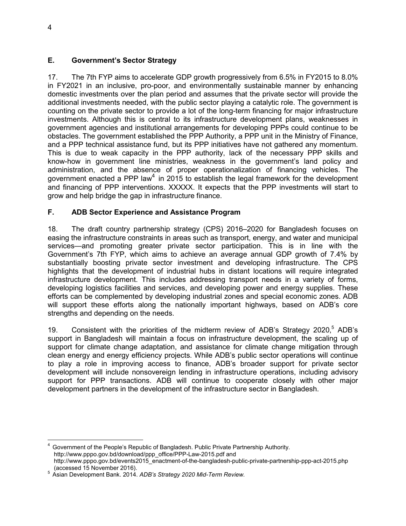# **E. Government's Sector Strategy**

17. The 7th FYP aims to accelerate GDP growth progressively from 6.5% in FY2015 to 8.0% in FY2021 in an inclusive, pro-poor, and environmentally sustainable manner by enhancing domestic investments over the plan period and assumes that the private sector will provide the additional investments needed, with the public sector playing a catalytic role. The government is counting on the private sector to provide a lot of the long-term financing for major infrastructure investments. Although this is central to its infrastructure development plans, weaknesses in government agencies and institutional arrangements for developing PPPs could continue to be obstacles. The government established the PPP Authority, a PPP unit in the Ministry of Finance, and a PPP technical assistance fund, but its PPP initiatives have not gathered any momentum. This is due to weak capacity in the PPP authority, lack of the necessary PPP skills and know-how in government line ministries, weakness in the government's land policy and administration, and the absence of proper operationalization of financing vehicles. The government enacted a PPP law<sup>4</sup> in 2015 to establish the legal framework for the development and financing of PPP interventions. XXXXX. It expects that the PPP investments will start to grow and help bridge the gap in infrastructure finance.

# **F. ADB Sector Experience and Assistance Program**

18. The draft country partnership strategy (CPS) 2016–2020 for Bangladesh focuses on easing the infrastructure constraints in areas such as transport, energy, and water and municipal services—and promoting greater private sector participation. This is in line with the Government's 7th FYP, which aims to achieve an average annual GDP growth of 7.4% by substantially boosting private sector investment and developing infrastructure. The CPS highlights that the development of industrial hubs in distant locations will require integrated infrastructure development. This includes addressing transport needs in a variety of forms, developing logistics facilities and services, and developing power and energy supplies. These efforts can be complemented by developing industrial zones and special economic zones. ADB will support these efforts along the nationally important highways, based on ADB's core strengths and depending on the needs.

19. Consistent with the priorities of the midterm review of ADB's Strategy 2020,<sup>5</sup> ADB's support in Bangladesh will maintain a focus on infrastructure development, the scaling up of support for climate change adaptation, and assistance for climate change mitigation through clean energy and energy efficiency projects. While ADB's public sector operations will continue to play a role in improving access to finance, ADB's broader support for private sector development will include nonsovereign lending in infrastructure operations, including advisory support for PPP transactions. ADB will continue to cooperate closely with other major development partners in the development of the infrastructure sector in Bangladesh.

 $\overline{a}$ 

<sup>4</sup> Government of the People's Republic of Bangladesh. Public Private Partnership Authority. http://www.pppo.gov.bd/download/ppp\_office/PPP-Law-2015.pdf and http://www.pppo.gov.bd/events2015\_enactment-of-the-bangladesh-public-private-partnership-ppp-act-2015.php (accessed 15 November 2016).

<sup>5</sup> Asian Development Bank. 2014. *ADB's Strategy 2020 Mid-Term Review.*